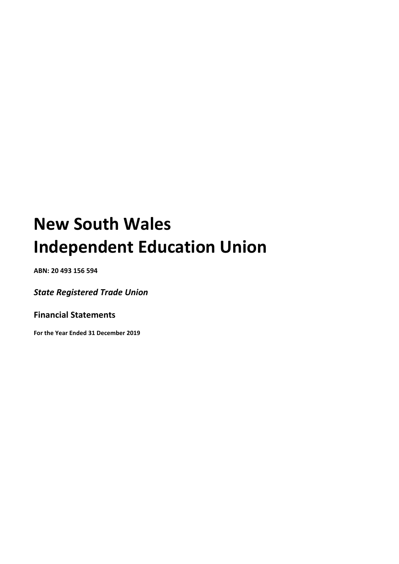**ABN: 20 493 156 594**

*State Registered Trade Union* 

**Financial Statements**

**For the Year Ended 31 December 2019**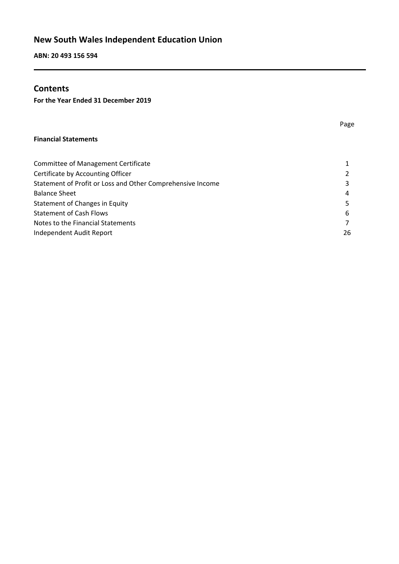**ABN: 20 493 156 594**

# **Contents**

**For the Year Ended 31 December 2019**

#### **Financial Statements**

| <b>Committee of Management Certificate</b>                 | 1             |
|------------------------------------------------------------|---------------|
| Certificate by Accounting Officer                          | $\mathcal{P}$ |
| Statement of Profit or Loss and Other Comprehensive Income | 3             |
| <b>Balance Sheet</b>                                       | 4             |
| <b>Statement of Changes in Equity</b>                      | 5.            |
| <b>Statement of Cash Flows</b>                             | 6             |
| Notes to the Financial Statements                          | 7             |
| Independent Audit Report                                   | 26            |
|                                                            |               |

Page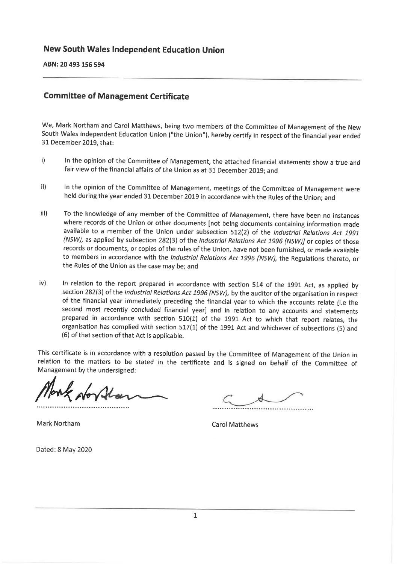ABN: 20 493 156 594

### **Committee of Management Certificate**

We, Mark Northam and Carol Matthews, being two members of the Committee of Management of the New South Wales Independent Education Union ("the Union"), hereby certify in respect of the financial year ended 31 December 2019, that:

- i) In the opinion of the Committee of Management, the attached financial statements show a true and fair view of the financial affairs of the Union as at 31 December 2019; and
- $\mathbf{ii}$ In the opinion of the Committee of Management, meetings of the Committee of Management were held during the year ended 31 December 2019 in accordance with the Rules of the Union; and
- $iii)$ To the knowledge of any member of the Committee of Management, there have been no instances where records of the Union or other documents [not being documents containing information made available to a member of the Union under subsection 512(2) of the Industrial Relations Act 1991 (NSW), as applied by subsection 282(3) of the Industrial Relations Act 1996 (NSW)] or copies of those records or documents, or copies of the rules of the Union, have not been furnished, or made available to members in accordance with the Industrial Relations Act 1996 (NSW), the Regulations thereto, or the Rules of the Union as the case may be; and
- iv) In relation to the report prepared in accordance with section 514 of the 1991 Act, as applied by section 282(3) of the Industrial Relations Act 1996 (NSW), by the auditor of the organisation in respect of the financial year immediately preceding the financial year to which the accounts relate [i.e the second most recently concluded financial year] and in relation to any accounts and statements prepared in accordance with section 510(1) of the 1991 Act to which that report relates, the organisation has complied with section 517(1) of the 1991 Act and whichever of subsections (5) and (6) of that section of that Act is applicable.

This certificate is in accordance with a resolution passed by the Committee of Management of the Union in relation to the matters to be stated in the certificate and is signed on behalf of the Committee of Management by the undersigned:

Mark Northam

**Carol Matthews** 

Dated: 8 May 2020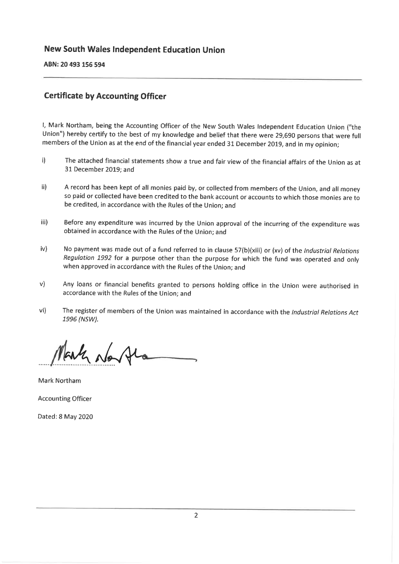ABN: 20 493 156 594

# **Certificate by Accounting Officer**

I, Mark Northam, being the Accounting Officer of the New South Wales Independent Education Union ("the Union") hereby certify to the best of my knowledge and belief that there were 29,690 persons that were full members of the Union as at the end of the financial year ended 31 December 2019, and in my opinion;

- $\mathbf{i}$ The attached financial statements show a true and fair view of the financial affairs of the Union as at 31 December 2019; and
- $\mathsf{ii}$ A record has been kept of all monies paid by, or collected from members of the Union, and all money so paid or collected have been credited to the bank account or accounts to which those monies are to be credited, in accordance with the Rules of the Union; and
- iii) Before any expenditure was incurred by the Union approval of the incurring of the expenditure was obtained in accordance with the Rules of the Union; and
- $iv)$ No payment was made out of a fund referred to in clause 57(b)(xiii) or (xv) of the Industrial Relations Regulation 1992 for a purpose other than the purpose for which the fund was operated and only when approved in accordance with the Rules of the Union; and
- $V)$ Any loans or financial benefits granted to persons holding office in the Union were authorised in accordance with the Rules of the Union; and
- $vi)$ The register of members of the Union was maintained in accordance with the Industrial Relations Act 1996 (NSW).

Mark No Al

Mark Northam

**Accounting Officer** 

Dated: 8 May 2020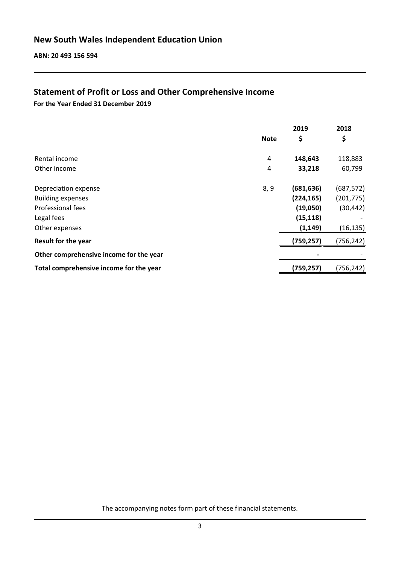# **Statement of Profit or Loss and Other Comprehensive Income**

**For the Year Ended 31 December 2019**

|                                         |             | 2019       | 2018       |
|-----------------------------------------|-------------|------------|------------|
|                                         | <b>Note</b> | \$         | \$         |
| Rental income                           | 4           | 148,643    | 118,883    |
| Other income                            | 4           | 33,218     | 60,799     |
| Depreciation expense                    | 8, 9        | (681, 636) | (687, 572) |
| <b>Building expenses</b>                |             | (224, 165) | (201, 775) |
| Professional fees                       |             | (19,050)   | (30, 442)  |
| Legal fees                              |             | (15, 118)  |            |
| Other expenses                          |             | (1, 149)   | (16, 135)  |
| <b>Result for the year</b>              |             | (759, 257) | (756, 242) |
| Other comprehensive income for the year |             |            |            |
| Total comprehensive income for the year |             | (759, 257) | (756,242)  |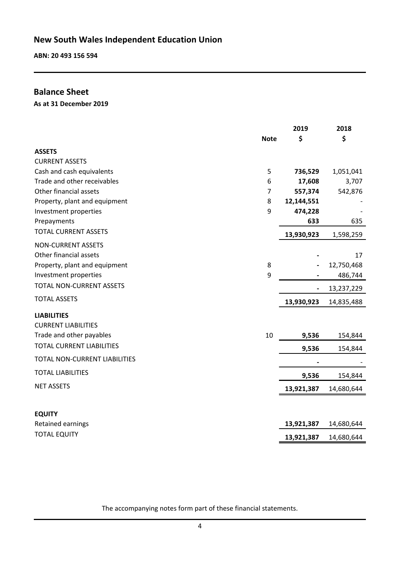**ABN: 20 493 156 594**

# **Balance Sheet**

**As at 31 December 2019**

|                                  | <b>Note</b>    | 2019<br>\$ | 2018<br>\$ |
|----------------------------------|----------------|------------|------------|
| <b>ASSETS</b>                    |                |            |            |
| <b>CURRENT ASSETS</b>            |                |            |            |
| Cash and cash equivalents        | 5              | 736,529    | 1,051,041  |
| Trade and other receivables      | 6              | 17,608     | 3,707      |
| Other financial assets           | $\overline{7}$ | 557,374    | 542,876    |
| Property, plant and equipment    | 8              | 12,144,551 |            |
| Investment properties            | 9              | 474,228    |            |
| Prepayments                      |                | 633        | 635        |
| <b>TOTAL CURRENT ASSETS</b>      |                | 13,930,923 | 1,598,259  |
| <b>NON-CURRENT ASSETS</b>        |                |            |            |
| Other financial assets           |                |            | 17         |
| Property, plant and equipment    | 8              |            | 12,750,468 |
| Investment properties            | 9              |            | 486,744    |
| <b>TOTAL NON-CURRENT ASSETS</b>  |                |            | 13,237,229 |
| <b>TOTAL ASSETS</b>              |                | 13,930,923 | 14,835,488 |
| <b>LIABILITIES</b>               |                |            |            |
| <b>CURRENT LIABILITIES</b>       |                |            |            |
| Trade and other payables         | 10             | 9,536      | 154,844    |
| <b>TOTAL CURRENT LIABILITIES</b> |                | 9,536      | 154,844    |
| TOTAL NON-CURRENT LIABILITIES    |                |            |            |
| <b>TOTAL LIABILITIES</b>         |                | 9,536      | 154,844    |
| <b>NET ASSETS</b>                |                | 13,921,387 | 14,680,644 |
|                                  |                |            |            |
| <b>EQUITY</b>                    |                |            |            |
| Retained earnings                |                | 13,921,387 | 14,680,644 |
| <b>TOTAL EQUITY</b>              |                | 13,921,387 | 14,680,644 |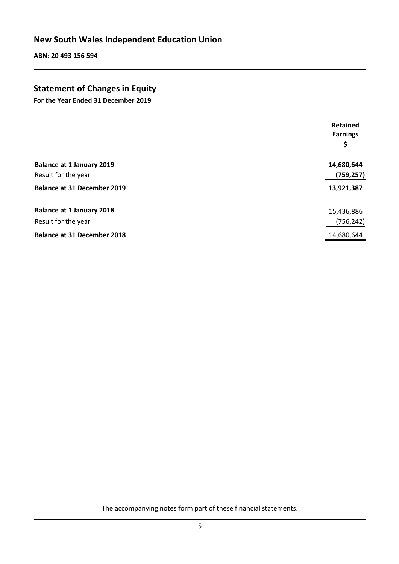**ABN: 20 493 156 594**

# **Statement of Changes in Equity**

**For the Year Ended 31 December 2019**

|                                                         | Retained<br><b>Earnings</b><br>\$ |
|---------------------------------------------------------|-----------------------------------|
| <b>Balance at 1 January 2019</b><br>Result for the year | 14,680,644<br>(759, 257)          |
| <b>Balance at 31 December 2019</b>                      | 13,921,387                        |
| <b>Balance at 1 January 2018</b><br>Result for the year | 15,436,886<br>(756, 242)          |
| <b>Balance at 31 December 2018</b>                      | 14,680,644                        |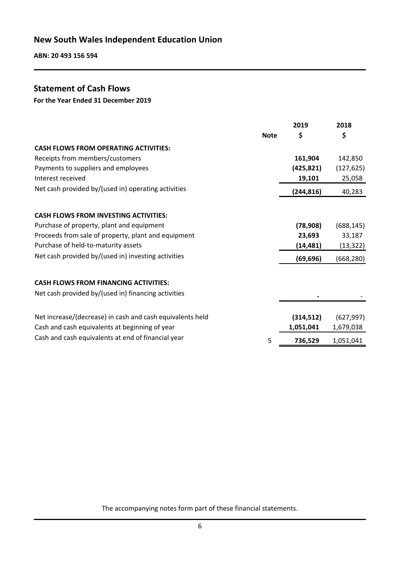**ABN: 20 493 156 594**

# **Statement of Cash Flows**

**For the Year Ended 31 December 2019**

|                                                           |             | 2019       | 2018       |
|-----------------------------------------------------------|-------------|------------|------------|
|                                                           | <b>Note</b> | \$         | \$         |
| <b>CASH FLOWS FROM OPERATING ACTIVITIES:</b>              |             |            |            |
| Receipts from members/customers                           |             | 161,904    | 142,850    |
| Payments to suppliers and employees                       |             | (425, 821) | (127, 625) |
| Interest received                                         |             | 19,101     | 25,058     |
| Net cash provided by/(used in) operating activities       |             | (244, 816) | 40,283     |
| <b>CASH FLOWS FROM INVESTING ACTIVITIES:</b>              |             |            |            |
| Purchase of property, plant and equipment                 |             | (78, 908)  | (688, 145) |
| Proceeds from sale of property, plant and equipment       |             | 23,693     | 33,187     |
| Purchase of held-to-maturity assets                       |             | (14,481)   | (13, 322)  |
| Net cash provided by/(used in) investing activities       |             |            |            |
|                                                           |             | (69, 696)  | (668, 280) |
| <b>CASH FLOWS FROM FINANCING ACTIVITIES:</b>              |             |            |            |
| Net cash provided by/(used in) financing activities       |             |            |            |
|                                                           |             |            |            |
| Net increase/(decrease) in cash and cash equivalents held |             | (314, 512) | (627, 997) |
| Cash and cash equivalents at beginning of year            |             | 1,051,041  | 1,679,038  |
| Cash and cash equivalents at end of financial year        | 5           | 736,529    | 1,051,041  |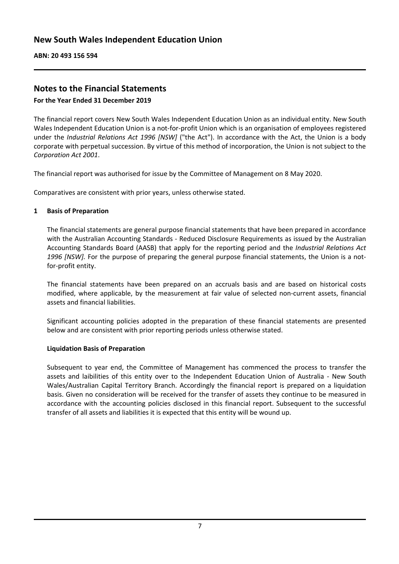# **Notes to the Financial Statements**

#### **For the Year Ended 31 December 2019**

The financial report covers New South Wales Independent Education Union as an individual entity. New South Wales Independent Education Union is a not-for-profit Union which is an organisation of employees registered under the *Industrial Relations Act 1996 [NSW]* ("the Act"). In accordance with the Act, the Union is a body corporate with perpetual succession. By virtue of this method of incorporation, the Union is not subject to the *Corporation Act 2001*.

The financial report was authorised for issue by the Committee of Management on 8 May 2020.

Comparatives are consistent with prior years, unless otherwise stated.

#### **1 Basis of Preparation**

The financial statements are general purpose financial statements that have been prepared in accordance with the Australian Accounting Standards - Reduced Disclosure Requirements as issued by the Australian Accounting Standards Board (AASB) that apply for the reporting period and the *Industrial Relations Act 1996 [NSW].* For the purpose of preparing the general purpose financial statements, the Union is a notfor-profit entity.

The financial statements have been prepared on an accruals basis and are based on historical costs modified, where applicable, by the measurement at fair value of selected non-current assets, financial assets and financial liabilities.

Significant accounting policies adopted in the preparation of these financial statements are presented below and are consistent with prior reporting periods unless otherwise stated.

#### **Liquidation Basis of Preparation**

Subsequent to year end, the Committee of Management has commenced the process to transfer the assets and laibilities of this entity over to the Independent Education Union of Australia - New South Wales/Australian Capital Territory Branch. Accordingly the financial report is prepared on a liquidation basis. Given no consideration will be received for the transfer of assets they continue to be measured in accordance with the accounting policies disclosed in this financial report. Subsequent to the successful transfer of all assets and liabilities it is expected that this entity will be wound up.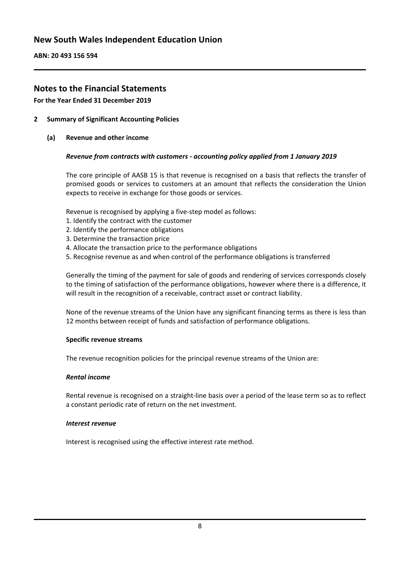**ABN: 20 493 156 594**

# **Notes to the Financial Statements**

**For the Year Ended 31 December 2019**

- **2 Summary of Significant Accounting Policies**
	- **(a) Revenue and other income**

#### *Revenue from contracts with customers - accounting policy applied from 1 January 2019*

The core principle of AASB 15 is that revenue is recognised on a basis that reflects the transfer of promised goods or services to customers at an amount that reflects the consideration the Union expects to receive in exchange for those goods or services.

Revenue is recognised by applying a five-step model as follows:

- 1. Identify the contract with the customer
- 2. Identify the performance obligations
- 3. Determine the transaction price
- 4. Allocate the transaction price to the performance obligations
- 5. Recognise revenue as and when control of the performance obligations is transferred

Generally the timing of the payment for sale of goods and rendering of services corresponds closely to the timing of satisfaction of the performance obligations, however where there is a difference, it will result in the recognition of a receivable, contract asset or contract liability.

None of the revenue streams of the Union have any significant financing terms as there is less than 12 months between receipt of funds and satisfaction of performance obligations.

#### **Specific revenue streams**

The revenue recognition policies for the principal revenue streams of the Union are:

#### *Rental income*

Rental revenue is recognised on a straight-line basis over a period of the lease term so as to reflect a constant periodic rate of return on the net investment.

#### *Interest revenue*

Interest is recognised using the effective interest rate method.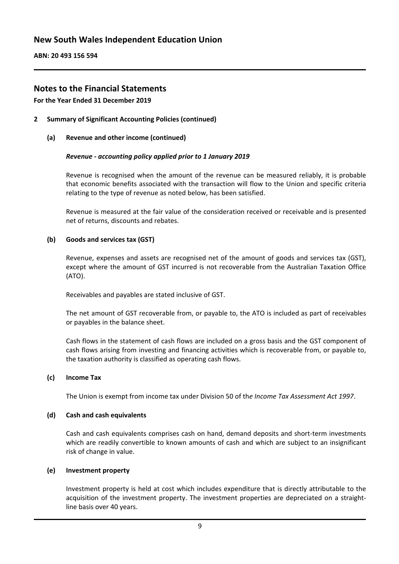**ABN: 20 493 156 594**

# **Notes to the Financial Statements**

**For the Year Ended 31 December 2019**

- **2 Summary of Significant Accounting Policies (continued)**
	- **(a) Revenue and other income (continued)**

#### *Revenue - accounting policy applied prior to 1 January 2019*

Revenue is recognised when the amount of the revenue can be measured reliably, it is probable that economic benefits associated with the transaction will flow to the Union and specific criteria relating to the type of revenue as noted below, has been satisfied.

Revenue is measured at the fair value of the consideration received or receivable and is presented net of returns, discounts and rebates.

#### **(b) Goods and services tax (GST)**

Revenue, expenses and assets are recognised net of the amount of goods and services tax (GST), except where the amount of GST incurred is not recoverable from the Australian Taxation Office (ATO).

Receivables and payables are stated inclusive of GST.

The net amount of GST recoverable from, or payable to, the ATO is included as part of receivables or payables in the balance sheet.

Cash flows in the statement of cash flows are included on a gross basis and the GST component of cash flows arising from investing and financing activities which is recoverable from, or payable to, the taxation authority is classified as operating cash flows.

#### **(c) Income Tax**

The Union is exempt from income tax under Division 50 of th*e Income Tax Assessment Act 1997*.

#### **(d) Cash and cash equivalents**

Cash and cash equivalents comprises cash on hand, demand deposits and short-term investments which are readily convertible to known amounts of cash and which are subject to an insignificant risk of change in value.

#### **(e) Investment property**

Investment property is held at cost which includes expenditure that is directly attributable to the acquisition of the investment property. The investment properties are depreciated on a straightline basis over 40 years.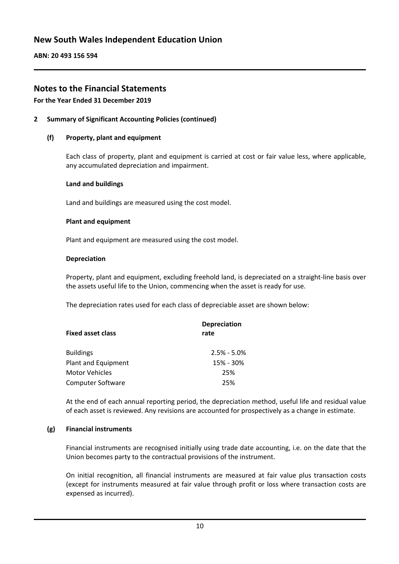**ABN: 20 493 156 594**

# **Notes to the Financial Statements**

#### **For the Year Ended 31 December 2019**

#### **2 Summary of Significant Accounting Policies (continued)**

#### **(f) Property, plant and equipment**

Each class of property, plant and equipment is carried at cost or fair value less, where applicable, any accumulated depreciation and impairment.

#### **Land and buildings**

Land and buildings are measured using the cost model.

#### **Plant and equipment**

Plant and equipment are measured using the cost model.

#### **Depreciation**

Property, plant and equipment, excluding freehold land, is depreciated on a straight-line basis over the assets useful life to the Union, commencing when the asset is ready for use.

The depreciation rates used for each class of depreciable asset are shown below:

| <b>Depreciation</b><br>rate |
|-----------------------------|
| $2.5% - 5.0%$               |
| 15% - 30%                   |
| 25%                         |
| 25%                         |
|                             |

At the end of each annual reporting period, the depreciation method, useful life and residual value of each asset is reviewed. Any revisions are accounted for prospectively as a change in estimate.

#### **(g) Financial instruments**

Financial instruments are recognised initially using trade date accounting, i.e. on the date that the Union becomes party to the contractual provisions of the instrument.

On initial recognition, all financial instruments are measured at fair value plus transaction costs (except for instruments measured at fair value through profit or loss where transaction costs are expensed as incurred).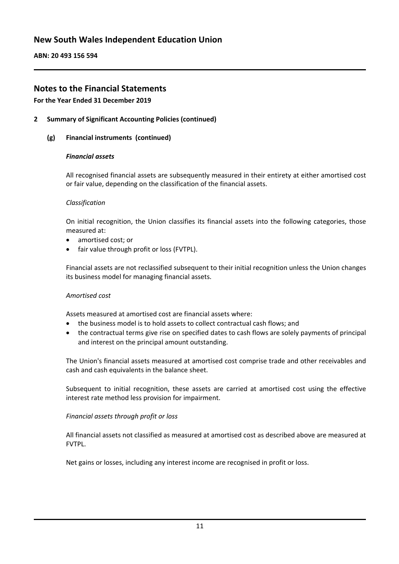**ABN: 20 493 156 594**

# **Notes to the Financial Statements**

#### **For the Year Ended 31 December 2019**

#### **2 Summary of Significant Accounting Policies (continued)**

#### **(g) Financial instruments (continued)**

#### *Financial assets*

All recognised financial assets are subsequently measured in their entirety at either amortised cost or fair value, depending on the classification of the financial assets.

#### *Classification*

On initial recognition, the Union classifies its financial assets into the following categories, those measured at:

- amortised cost; or
- fair value through profit or loss (FVTPL).

Financial assets are not reclassified subsequent to their initial recognition unless the Union changes its business model for managing financial assets.

#### *Amortised cost*

Assets measured at amortised cost are financial assets where:

- the business model is to hold assets to collect contractual cash flows; and
- the contractual terms give rise on specified dates to cash flows are solely payments of principal and interest on the principal amount outstanding.

The Union's financial assets measured at amortised cost comprise trade and other receivables and cash and cash equivalents in the balance sheet.

Subsequent to initial recognition, these assets are carried at amortised cost using the effective interest rate method less provision for impairment.

#### *Financial assets through profit or loss*

All financial assets not classified as measured at amortised cost as described above are measured at FVTPL.

Net gains or losses, including any interest income are recognised in profit or loss.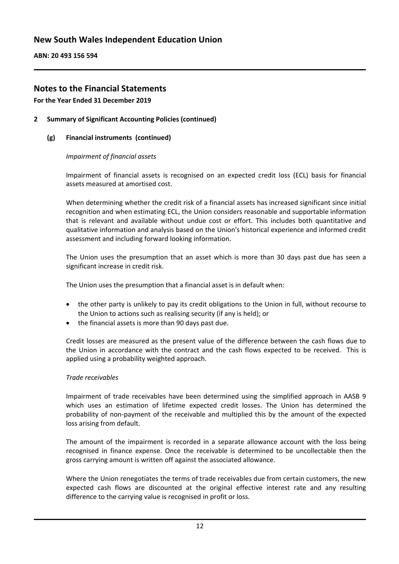**ABN: 20 493 156 594**

# **Notes to the Financial Statements**

#### **For the Year Ended 31 December 2019**

#### **2 Summary of Significant Accounting Policies (continued)**

#### **(g) Financial instruments (continued)**

#### *Impairment of financial assets*

Impairment of financial assets is recognised on an expected credit loss (ECL) basis for financial assets measured at amortised cost.

When determining whether the credit risk of a financial assets has increased significant since initial recognition and when estimating ECL, the Union considers reasonable and supportable information that is relevant and available without undue cost or effort. This includes both quantitative and qualitative information and analysis based on the Union's historical experience and informed credit assessment and including forward looking information.

The Union uses the presumption that an asset which is more than 30 days past due has seen a significant increase in credit risk.

The Union uses the presumption that a financial asset is in default when:

- the other party is unlikely to pay its credit obligations to the Union in full, without recourse to the Union to actions such as realising security (if any is held); or
- the financial assets is more than 90 days past due.

Credit losses are measured as the present value of the difference between the cash flows due to the Union in accordance with the contract and the cash flows expected to be received. This is applied using a probability weighted approach.

#### *Trade receivables*

Impairment of trade receivables have been determined using the simplified approach in AASB 9 which uses an estimation of lifetime expected credit losses. The Union has determined the probability of non-payment of the receivable and multiplied this by the amount of the expected loss arising from default.

The amount of the impairment is recorded in a separate allowance account with the loss being recognised in finance expense. Once the receivable is determined to be uncollectable then the gross carrying amount is written off against the associated allowance.

Where the Union renegotiates the terms of trade receivables due from certain customers, the new expected cash flows are discounted at the original effective interest rate and any resulting difference to the carrying value is recognised in profit or loss.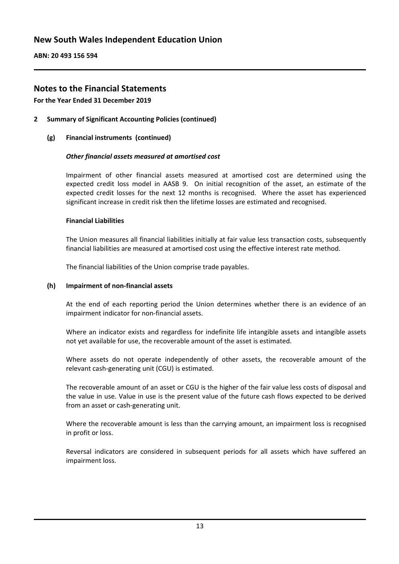**ABN: 20 493 156 594**

# **Notes to the Financial Statements**

**For the Year Ended 31 December 2019**

**2 Summary of Significant Accounting Policies (continued)**

#### **(g) Financial instruments (continued)**

#### *Other financial assets measured at amortised cost*

Impairment of other financial assets measured at amortised cost are determined using the expected credit loss model in AASB 9. On initial recognition of the asset, an estimate of the expected credit losses for the next 12 months is recognised. Where the asset has experienced significant increase in credit risk then the lifetime losses are estimated and recognised.

#### **Financial Liabilities**

The Union measures all financial liabilities initially at fair value less transaction costs, subsequently financial liabilities are measured at amortised cost using the effective interest rate method.

The financial liabilities of the Union comprise trade payables.

#### **(h) Impairment of non-financial assets**

At the end of each reporting period the Union determines whether there is an evidence of an impairment indicator for non-financial assets.

Where an indicator exists and regardless for indefinite life intangible assets and intangible assets not yet available for use, the recoverable amount of the asset is estimated.

Where assets do not operate independently of other assets, the recoverable amount of the relevant cash-generating unit (CGU) is estimated.

The recoverable amount of an asset or CGU is the higher of the fair value less costs of disposal and the value in use. Value in use is the present value of the future cash flows expected to be derived from an asset or cash-generating unit.

Where the recoverable amount is less than the carrying amount, an impairment loss is recognised in profit or loss.

Reversal indicators are considered in subsequent periods for all assets which have suffered an impairment loss.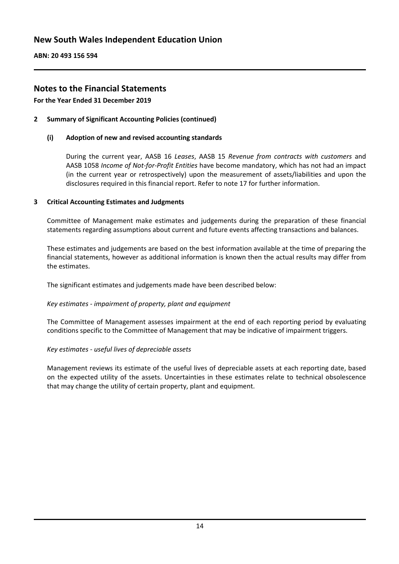**ABN: 20 493 156 594**

# **Notes to the Financial Statements**

**For the Year Ended 31 December 2019**

#### **2 Summary of Significant Accounting Policies (continued)**

#### **(i) Adoption of new and revised accounting standards**

During the current year, AASB 16 *Leases*, AASB 15 *Revenue from contracts with customers* and AASB 1058 *Income of Not-for-Profit Entities* have become mandatory, which has not had an impact (in the current year or retrospectively) upon the measurement of assets/liabilities and upon the disclosures required in this financial report. Refer to note 17 for further information.

#### **3 Critical Accounting Estimates and Judgments**

Committee of Management make estimates and judgements during the preparation of these financial statements regarding assumptions about current and future events affecting transactions and balances.

These estimates and judgements are based on the best information available at the time of preparing the financial statements, however as additional information is known then the actual results may differ from the estimates.

The significant estimates and judgements made have been described below:

#### *Key estimates - impairment of property, plant and equipment*

The Committee of Management assesses impairment at the end of each reporting period by evaluating conditions specific to the Committee of Management that may be indicative of impairment triggers.

#### *Key estimates - useful lives of depreciable assets*

Management reviews its estimate of the useful lives of depreciable assets at each reporting date, based on the expected utility of the assets. Uncertainties in these estimates relate to technical obsolescence that may change the utility of certain property, plant and equipment.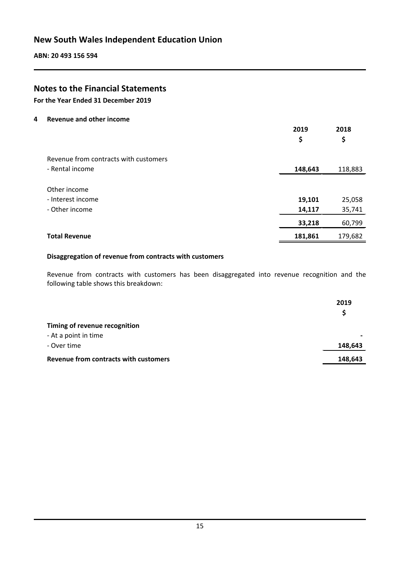**ABN: 20 493 156 594**

# **Notes to the Financial Statements**

**For the Year Ended 31 December 2019**

**4 Revenue and other income**

|                                       | 2019<br>\$ | 2018<br>\$ |
|---------------------------------------|------------|------------|
| Revenue from contracts with customers |            |            |
| - Rental income                       | 148,643    | 118,883    |
| Other income                          |            |            |
| - Interest income                     | 19,101     | 25,058     |
| - Other income                        | 14,117     | 35,741     |
|                                       | 33,218     | 60,799     |
| <b>Total Revenue</b>                  | 181,861    | 179,682    |

#### **Disaggregation of revenue from contracts with customers**

Revenue from contracts with customers has been disaggregated into revenue recognition and the following table shows this breakdown:

|                                              | 2019    |
|----------------------------------------------|---------|
|                                              | S.      |
| Timing of revenue recognition                |         |
| - At a point in time                         |         |
| - Over time                                  | 148,643 |
| <b>Revenue from contracts with customers</b> | 148,643 |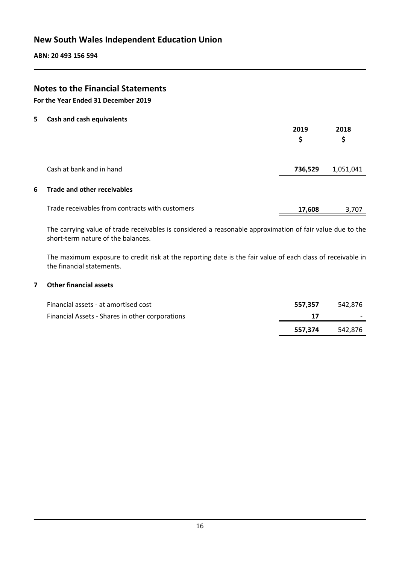# **Notes to the Financial Statements**

**For the Year Ended 31 December 2019**

**5 Cash and cash equivalents**

|                                                 | 2019<br>\$ | 2018<br>\$ |
|-------------------------------------------------|------------|------------|
| Cash at bank and in hand                        | 736,529    | 1,051,041  |
| 6 Trade and other receivables                   |            |            |
| Trade receivables from contracts with customers | 17,608     | 3,707      |

The carrying value of trade receivables is considered a reasonable approximation of fair value due to the short-term nature of the balances.

The maximum exposure to credit risk at the reporting date is the fair value of each class of receivable in the financial statements.

#### **7 Other financial assets**

|                                                 | 557.374 | 542.876 |
|-------------------------------------------------|---------|---------|
| Financial Assets - Shares in other corporations |         |         |
| Financial assets - at amortised cost            | 557.357 | 542.876 |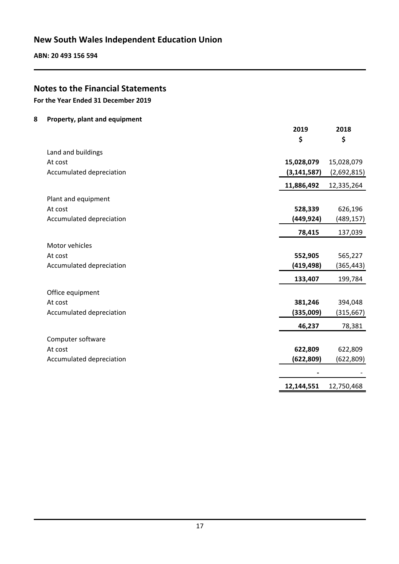**ABN: 20 493 156 594**

# **Notes to the Financial Statements**

**For the Year Ended 31 December 2019**

#### **8 Property, plant and equipment**

|                          | 2019          | 2018        |
|--------------------------|---------------|-------------|
|                          | \$            | \$          |
| Land and buildings       |               |             |
| At cost                  | 15,028,079    | 15,028,079  |
| Accumulated depreciation | (3, 141, 587) | (2,692,815) |
|                          | 11,886,492    | 12,335,264  |
| Plant and equipment      |               |             |
| At cost                  | 528,339       | 626,196     |
| Accumulated depreciation | (449, 924)    | (489, 157)  |
|                          | 78,415        | 137,039     |
|                          |               |             |
| Motor vehicles           |               |             |
| At cost                  | 552,905       | 565,227     |
| Accumulated depreciation | (419, 498)    | (365, 443)  |
|                          | 133,407       | 199,784     |
| Office equipment         |               |             |
| At cost                  | 381,246       | 394,048     |
| Accumulated depreciation | (335,009)     | (315, 667)  |
|                          | 46,237        | 78,381      |
| Computer software        |               |             |
| At cost                  | 622,809       | 622,809     |
| Accumulated depreciation | (622, 809)    | (622, 809)  |
|                          |               |             |
|                          | 12,144,551    | 12,750,468  |
|                          |               |             |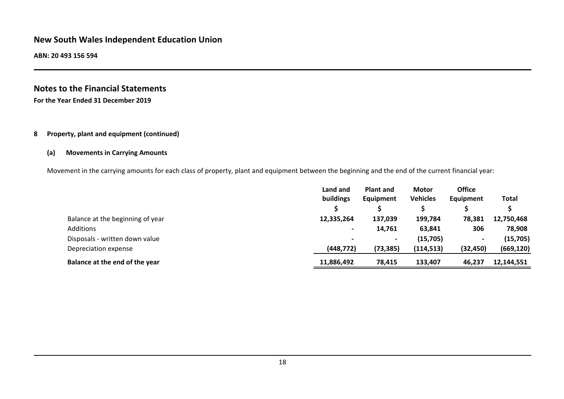**ABN: 20 493 156 594**

# **Notes to the Financial Statements For the Year Ended 31 December 2019**

#### **8 Property, plant and equipment (continued)**

#### **(a) Movements in Carrying Amounts**

Movement in the carrying amounts for each class of property, plant and equipment between the beginning and the end of the current financial year:

|                                  | Land and<br>buildings    | <b>Plant and</b><br>Equipment | <b>Motor</b><br><b>Vehicles</b> | <b>Office</b><br>Equipment | Total      |
|----------------------------------|--------------------------|-------------------------------|---------------------------------|----------------------------|------------|
| Balance at the beginning of year | 12,335,264               | 137,039                       | 199,784                         | 78,381                     | 12,750,468 |
| Additions                        | $\blacksquare$           | 14,761                        | 63,841                          | 306                        | 78,908     |
| Disposals - written down value   | $\overline{\phantom{0}}$ | $\overline{\phantom{0}}$      | (15,705)                        | $\overline{\phantom{a}}$   | (15,705)   |
| Depreciation expense             | (448, 772)               | (73, 385)                     | (114, 513)                      | (32, 450)                  | (669, 120) |
| Balance at the end of the year   | 11,886,492               | 78,415                        | 133,407                         | 46,237                     | 12,144,551 |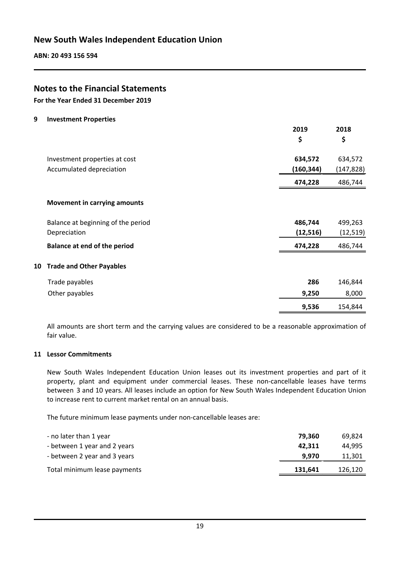**ABN: 20 493 156 594**

# **Notes to the Financial Statements**

**For the Year Ended 31 December 2019**

**9 Investment Properties**

|    |                                     | 2019       | 2018       |
|----|-------------------------------------|------------|------------|
|    |                                     | \$         | \$         |
|    | Investment properties at cost       | 634,572    | 634,572    |
|    | Accumulated depreciation            | (160, 344) | (147, 828) |
|    |                                     | 474,228    | 486,744    |
|    | <b>Movement in carrying amounts</b> |            |            |
|    | Balance at beginning of the period  | 486,744    | 499,263    |
|    | Depreciation                        | (12, 516)  | (12, 519)  |
|    | <b>Balance at end of the period</b> | 474,228    | 486,744    |
| 10 | <b>Trade and Other Payables</b>     |            |            |
|    | Trade payables                      | 286        | 146,844    |
|    | Other payables                      | 9,250      | 8,000      |
|    |                                     | 9,536      | 154,844    |

All amounts are short term and the carrying values are considered to be a reasonable approximation of fair value.

#### **11 Lessor Commitments**

New South Wales Independent Education Union leases out its investment properties and part of it property, plant and equipment under commercial leases. These non-cancellable leases have terms between 3 and 10 years. All leases include an option for New South Wales Independent Education Union to increase rent to current market rental on an annual basis.

The future minimum lease payments under non-cancellable leases are:

| - no later than 1 year       | 79.360  | 69,824  |
|------------------------------|---------|---------|
| - between 1 year and 2 years | 42.311  | 44.995  |
| - between 2 year and 3 years | 9.970   | 11,301  |
| Total minimum lease payments | 131.641 | 126,120 |
|                              |         |         |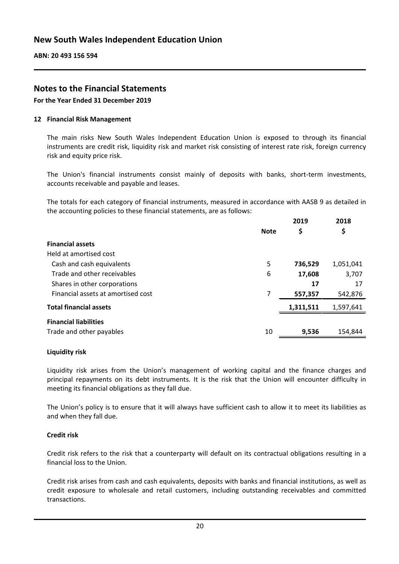# **Notes to the Financial Statements**

**For the Year Ended 31 December 2019**

#### **12 Financial Risk Management**

The main risks New South Wales Independent Education Union is exposed to through its financial instruments are credit risk, liquidity risk and market risk consisting of interest rate risk, foreign currency risk and equity price risk.

The Union's financial instruments consist mainly of deposits with banks, short-term investments, accounts receivable and payable and leases.

The totals for each category of financial instruments, measured in accordance with AASB 9 as detailed in the accounting policies to these financial statements, are as follows:

|                                    |             | 2019      | 2018      |
|------------------------------------|-------------|-----------|-----------|
|                                    | <b>Note</b> | \$        | \$        |
| <b>Financial assets</b>            |             |           |           |
| Held at amortised cost             |             |           |           |
| Cash and cash equivalents          | 5           | 736,529   | 1,051,041 |
| Trade and other receivables        | 6           | 17,608    | 3,707     |
| Shares in other corporations       |             | 17        | 17        |
| Financial assets at amortised cost | 7           | 557,357   | 542,876   |
| <b>Total financial assets</b>      |             | 1,311,511 | 1,597,641 |
| <b>Financial liabilities</b>       |             |           |           |
| Trade and other payables           | 10          | 9,536     | 154,844   |

#### **Liquidity risk**

Liquidity risk arises from the Union's management of working capital and the finance charges and principal repayments on its debt instruments. It is the risk that the Union will encounter difficulty in meeting its financial obligations as they fall due.

The Union's policy is to ensure that it will always have sufficient cash to allow it to meet its liabilities as and when they fall due.

#### **Credit risk**

Credit risk refers to the risk that a counterparty will default on its contractual obligations resulting in a financial loss to the Union.

Credit risk arises from cash and cash equivalents, deposits with banks and financial institutions, as well as credit exposure to wholesale and retail customers, including outstanding receivables and committed transactions.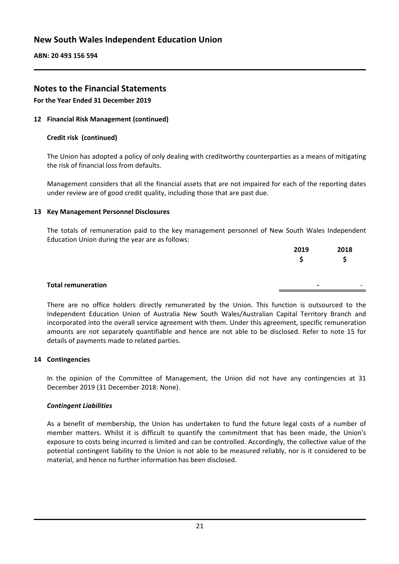**ABN: 20 493 156 594**

# **Notes to the Financial Statements**

**For the Year Ended 31 December 2019**

#### **12 Financial Risk Management (continued)**

#### **Credit risk (continued)**

The Union has adopted a policy of only dealing with creditworthy counterparties as a means of mitigating the risk of financial loss from defaults.

Management considers that all the financial assets that are not impaired for each of the reporting dates under review are of good credit quality, including those that are past due.

#### **13 Key Management Personnel Disclosures**

The totals of remuneration paid to the key management personnel of New South Wales Independent Education Union during the year are as follows:

|                           | 2019           | 2018 |
|---------------------------|----------------|------|
|                           |                |      |
|                           |                |      |
| <b>Total remuneration</b> | $\blacksquare$ |      |

There are no office holders directly remunerated by the Union. This function is outsourced to the Independent Education Union of Australia New South Wales/Australian Capital Territory Branch and incorporated into the overall service agreement with them. Under this agreement, specific remuneration amounts are not separately quantifiable and hence are not able to be disclosed. Refer to note 15 for details of payments made to related parties.

#### **14 Contingencies**

In the opinion of the Committee of Management, the Union did not have any contingencies at 31 December 2019 (31 December 2018: None).

#### *Contingent Liabilities*

As a benefit of membership, the Union has undertaken to fund the future legal costs of a number of member matters. Whilst it is difficult to quantify the commitment that has been made, the Union's exposure to costs being incurred is limited and can be controlled. Accordingly, the collective value of the potential contingent liability to the Union is not able to be measured reliably, nor is it considered to be material, and hence no further information has been disclosed.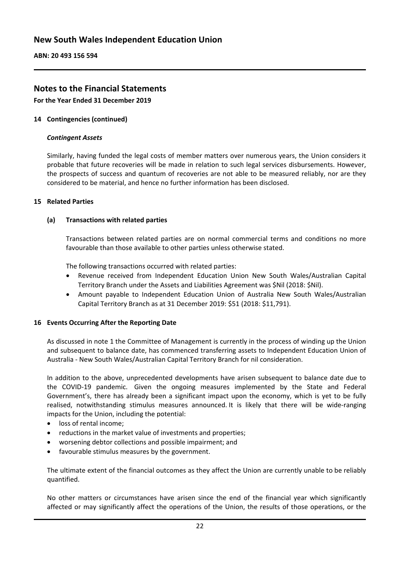**ABN: 20 493 156 594**

# **Notes to the Financial Statements**

**For the Year Ended 31 December 2019**

#### **14 Contingencies (continued)**

#### *Contingent Assets*

Similarly, having funded the legal costs of member matters over numerous years, the Union considers it probable that future recoveries will be made in relation to such legal services disbursements. However, the prospects of success and quantum of recoveries are not able to be measured reliably, nor are they considered to be material, and hence no further information has been disclosed.

#### **15 Related Parties**

#### **(a) Transactions with related parties**

Transactions between related parties are on normal commercial terms and conditions no more favourable than those available to other parties unless otherwise stated.

The following transactions occurred with related parties:

- Revenue received from Independent Education Union New South Wales/Australian Capital Territory Branch under the Assets and Liabilities Agreement was \$Nil (2018: \$Nil).
- Amount payable to Independent Education Union of Australia New South Wales/Australian Capital Territory Branch as at 31 December 2019: \$51 (2018: \$11,791).

#### **16 Events Occurring After the Reporting Date**

As discussed in note 1 the Committee of Management is currently in the process of winding up the Union and subsequent to balance date, has commenced transferring assets to Independent Education Union of Australia - New South Wales/Australian Capital Territory Branch for nil consideration.

In addition to the above, unprecedented developments have arisen subsequent to balance date due to the COVID-19 pandemic. Given the ongoing measures implemented by the State and Federal Government's, there has already been a significant impact upon the economy, which is yet to be fully realised, notwithstanding stimulus measures announced. It is likely that there will be wide-ranging impacts for the Union, including the potential:

- loss of rental income;
- reductions in the market value of investments and properties;
- worsening debtor collections and possible impairment; and
- favourable stimulus measures by the government.

The ultimate extent of the financial outcomes as they affect the Union are currently unable to be reliably quantified.

No other matters or circumstances have arisen since the end of the financial year which significantly affected or may significantly affect the operations of the Union, the results of those operations, or the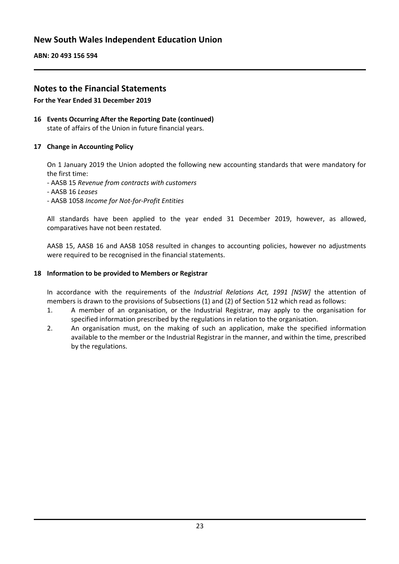**ABN: 20 493 156 594**

# **Notes to the Financial Statements**

#### **For the Year Ended 31 December 2019**

#### **16 Events Occurring After the Reporting Date (continued)** state of affairs of the Union in future financial years.

#### **17 Change in Accounting Policy**

On 1 January 2019 the Union adopted the following new accounting standards that were mandatory for the first time:

- AASB 15 *Revenue from contracts with customers*
- AASB 16 *Leases*
- AASB 1058 *Income for Not-for-Profit Entities*

All standards have been applied to the year ended 31 December 2019, however, as allowed, comparatives have not been restated.

AASB 15, AASB 16 and AASB 1058 resulted in changes to accounting policies, however no adjustments were required to be recognised in the financial statements.

#### **18 Information to be provided to Members or Registrar**

In accordance with the requirements of the *Industrial Relations Act, 1991 [NSW]* the attention of members is drawn to the provisions of Subsections (1) and (2) of Section 512 which read as follows:

- 1. A member of an organisation, or the Industrial Registrar, may apply to the organisation for specified information prescribed by the regulations in relation to the organisation.
- 2. An organisation must, on the making of such an application, make the specified information available to the member or the Industrial Registrar in the manner, and within the time, prescribed by the regulations.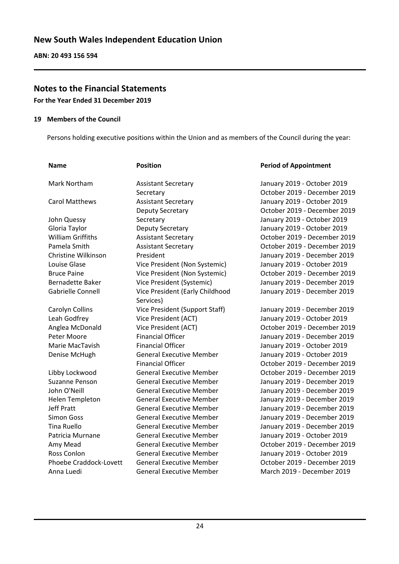# **Notes to the Financial Statements**

**For the Year Ended 31 December 2019**

#### **19 Members of the Council**

Persons holding executive positions within the Union and as members of the Council during the year:

| <b>Name</b>                   | <b>Position</b>                 | <b>Period of Appointment</b> |
|-------------------------------|---------------------------------|------------------------------|
| Mark Northam                  | <b>Assistant Secretary</b>      | January 2019 - October 2019  |
|                               | Secretary                       | October 2019 - December 2019 |
| <b>Carol Matthews</b>         | <b>Assistant Secretary</b>      | January 2019 - October 2019  |
|                               | Deputy Secretary                | October 2019 - December 2019 |
| John Quessy                   | Secretary                       | January 2019 - October 2019  |
| Gloria Taylor                 | Deputy Secretary                | January 2019 - October 2019  |
| <b>William Griffiths</b>      | <b>Assistant Secretary</b>      | October 2019 - December 2019 |
| Pamela Smith                  | <b>Assistant Secretary</b>      | October 2019 - December 2019 |
| Christine Wilkinson           | President                       | January 2019 - December 2019 |
| Louise Glase                  | Vice President (Non Systemic)   | January 2019 - October 2019  |
| <b>Bruce Paine</b>            | Vice President (Non Systemic)   | October 2019 - December 2019 |
| <b>Bernadette Baker</b>       | Vice President (Systemic)       | January 2019 - December 2019 |
| <b>Gabrielle Connell</b>      | Vice President (Early Childhood | January 2019 - December 2019 |
|                               | Services)                       |                              |
| Carolyn Collins               | Vice President (Support Staff)  | January 2019 - December 2019 |
| Leah Godfrey                  | Vice President (ACT)            | January 2019 - October 2019  |
| Anglea McDonald               | Vice President (ACT)            | October 2019 - December 2019 |
| Peter Moore                   | <b>Financial Officer</b>        | January 2019 - December 2019 |
| Marie MacTavish               | <b>Financial Officer</b>        | January 2019 - October 2019  |
| Denise McHugh                 | <b>General Executive Member</b> | January 2019 - October 2019  |
|                               | <b>Financial Officer</b>        | October 2019 - December 2019 |
| Libby Lockwood                | <b>General Executive Member</b> | October 2019 - December 2019 |
| Suzanne Penson                | <b>General Executive Member</b> | January 2019 - December 2019 |
| John O'Neill                  | <b>General Executive Member</b> | January 2019 - December 2019 |
| <b>Helen Templeton</b>        | <b>General Executive Member</b> | January 2019 - December 2019 |
| <b>Jeff Pratt</b>             | <b>General Executive Member</b> | January 2019 - December 2019 |
| <b>Simon Goss</b>             | <b>General Executive Member</b> | January 2019 - December 2019 |
| <b>Tina Ruello</b>            | <b>General Executive Member</b> | January 2019 - December 2019 |
| Patricia Murnane              | <b>General Executive Member</b> | January 2019 - October 2019  |
| Amy Mead                      | <b>General Executive Member</b> | October 2019 - December 2019 |
| Ross Conlon                   | <b>General Executive Member</b> | January 2019 - October 2019  |
| <b>Phoebe Craddock-Lovett</b> | <b>General Executive Member</b> | October 2019 - December 2019 |
| Anna Luedi                    | <b>General Executive Member</b> | March 2019 - December 2019   |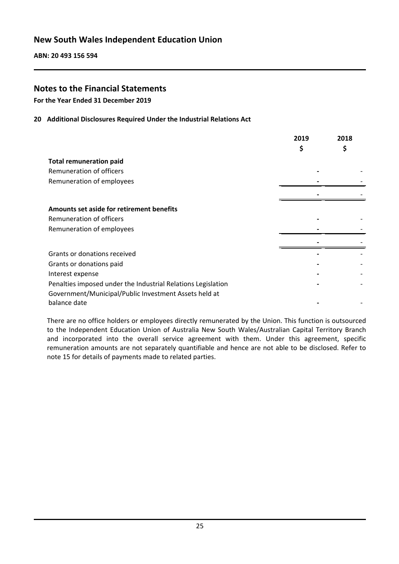# **Notes to the Financial Statements**

**For the Year Ended 31 December 2019**

#### **20 Additional Disclosures Required Under the Industrial Relations Act**

|                                                              | 2019<br>\$ | 2018<br>\$ |
|--------------------------------------------------------------|------------|------------|
| <b>Total remuneration paid</b>                               |            |            |
| Remuneration of officers                                     |            |            |
| Remuneration of employees                                    |            |            |
|                                                              |            |            |
| Amounts set aside for retirement benefits                    |            |            |
| Remuneration of officers                                     |            |            |
| Remuneration of employees                                    |            |            |
|                                                              |            |            |
| Grants or donations received                                 |            |            |
| Grants or donations paid                                     |            |            |
| Interest expense                                             |            |            |
| Penalties imposed under the Industrial Relations Legislation |            |            |
| Government/Municipal/Public Investment Assets held at        |            |            |
| balance date                                                 |            |            |

There are no office holders or employees directly remunerated by the Union. This function is outsourced to the Independent Education Union of Australia New South Wales/Australian Capital Territory Branch and incorporated into the overall service agreement with them. Under this agreement, specific remuneration amounts are not separately quantifiable and hence are not able to be disclosed. Refer to note 15 for details of payments made to related parties.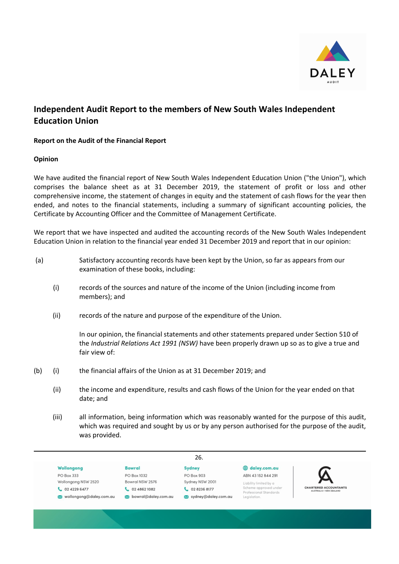

# **Independent Audit Report to the members of New South Wales Independent Education Union**

#### **Report on the Audit of the Financial Report**

#### **Opinion**

We have audited the financial report of New South Wales Independent Education Union ("the Union"), which comprises the balance sheet as at 31 December 2019, the statement of profit or loss and other comprehensive income, the statement of changes in equity and the statement of cash flows for the year then ended, and notes to the financial statements, including a summary of significant accounting policies, the Certificate by Accounting Officer and the Committee of Management Certificate.

We report that we have inspected and audited the accounting records of the New South Wales Independent Education Union in relation to the financial year ended 31 December 2019 and report that in our opinion:

| (a) | Satisfactory accounting records have been kept by the Union, so far as appears from our |
|-----|-----------------------------------------------------------------------------------------|
|     | examination of these books, including:                                                  |

- (i) records of the sources and nature of the income of the Union (including income from members); and
- (ii) records of the nature and purpose of the expenditure of the Union.

In our opinion, the financial statements and other statements prepared under Section 510 of the *Industrial Relations Act 1991 (NSW)* have been properly drawn up so as to give a true and fair view of:

- (b) (i) the financial affairs of the Union as at 31 December 2019; and
	- (ii) the income and expenditure, results and cash flows of the Union for the year ended on that date; and
	- (iii) all information, being information which was reasonably wanted for the purpose of this audit, which was required and sought by us or by any person authorised for the purpose of the audit, was provided.

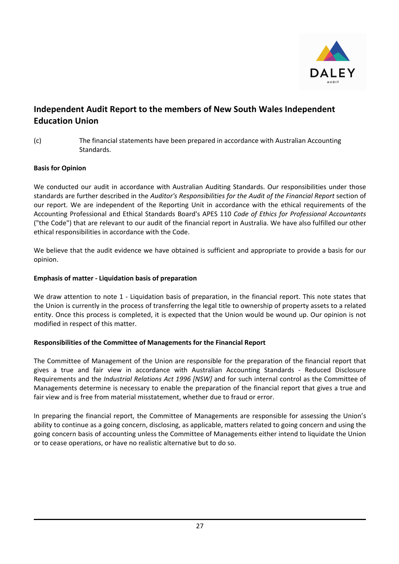

# **Independent Audit Report to the members of New South Wales Independent Education Union**

(c) The financial statements have been prepared in accordance with Australian Accounting Standards.

#### **Basis for Opinion**

We conducted our audit in accordance with Australian Auditing Standards. Our responsibilities under those standards are further described in the *Auditor's Responsibilities for the Audit of the Financial Report* section of our report. We are independent of the Reporting Unit in accordance with the ethical requirements of the Accounting Professional and Ethical Standards Board's APES 110 *Code of Ethics for Professional Accountants* ("the Code") that are relevant to our audit of the financial report in Australia. We have also fulfilled our other ethical responsibilities in accordance with the Code.

We believe that the audit evidence we have obtained is sufficient and appropriate to provide a basis for our opinion.

#### **Emphasis of matter - Liquidation basis of preparation**

We draw attention to note 1 - Liquidation basis of preparation, in the financial report. This note states that the Union is currently in the process of transferring the legal title to ownership of property assets to a related entity. Once this process is completed, it is expected that the Union would be wound up. Our opinion is not modified in respect of this matter.

#### **Responsibilities of the Committee of Managements for the Financial Report**

The Committee of Management of the Union are responsible for the preparation of the financial report that gives a true and fair view in accordance with Australian Accounting Standards - Reduced Disclosure Requirements and the *Industrial Relations Act 1996 [NSW]* and for such internal control as the Committee of Managements determine is necessary to enable the preparation of the financial report that gives a true and fair view and is free from material misstatement, whether due to fraud or error.

In preparing the financial report, the Committee of Managements are responsible for assessing the Union's ability to continue as a going concern, disclosing, as applicable, matters related to going concern and using the going concern basis of accounting unless the Committee of Managements either intend to liquidate the Union or to cease operations, or have no realistic alternative but to do so.